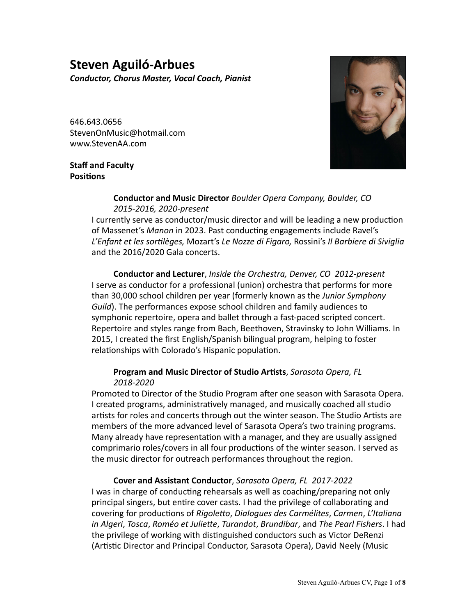# **Steven Aguiló-Arbues**

*Conductor, Chorus Master, Vocal Coach, Pianist*

646.643.0656 StevenOnMusic@hotmail.com www.StevenAA.com

# **Staff and Faculty Positions**



## **Conductor and Music Director** *Boulder Opera Company, Boulder, CO 2015-2016, 2020-present*

I currently serve as conductor/music director and will be leading a new production of Massenet's Manon in 2023. Past conducting engagements include Ravel's L'Enfant et les sortilèges, Mozart's Le Nozze di Figaro, Rossini's Il Barbiere di Siviglia and the 2016/2020 Gala concerts.

**Conductor and Lecturer**, *Inside the Orchestra, Denver, CO 2012-present* I serve as conductor for a professional (union) orchestra that performs for more than 30,000 school children per year (formerly known as the *Junior Symphony Guild*). The performances expose school children and family audiences to symphonic repertoire, opera and ballet through a fast-paced scripted concert. Repertoire and styles range from Bach, Beethoven, Stravinsky to John Williams. In 2015, I created the first English/Spanish bilingual program, helping to foster relationships with Colorado's Hispanic population.

# **Program and Music Director of Studio Artists**, Sarasota Opera, FL  *2018-2020*

Promoted to Director of the Studio Program after one season with Sarasota Opera. I created programs, administratively managed, and musically coached all studio artists for roles and concerts through out the winter season. The Studio Artists are members of the more advanced level of Sarasota Opera's two training programs. Many already have representation with a manager, and they are usually assigned comprimario roles/covers in all four productions of the winter season. I served as the music director for outreach performances throughout the region.

# **Cover and Assistant Conductor**, *Sarasota Opera, FL 2017-2022*

I was in charge of conducting rehearsals as well as coaching/preparing not only principal singers, but entire cover casts. I had the privilege of collaborating and covering for productions of Rigoletto, Dialogues des Carmélites, Carmen, L'Italiana *in Algeri*, *Tosca*, *Roméo et Juliette*, *Turandot*, *Brundibar*, and *The Pearl Fishers*. I had the privilege of working with distinguished conductors such as Victor DeRenzi (Artistic Director and Principal Conductor, Sarasota Opera), David Neely (Music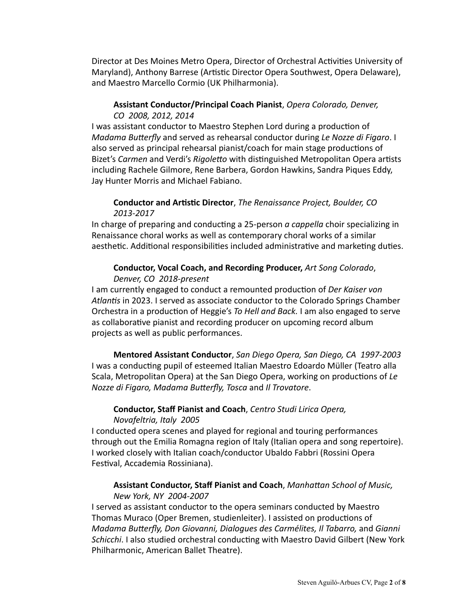Director at Des Moines Metro Opera, Director of Orchestral Activities University of Maryland), Anthony Barrese (Artistic Director Opera Southwest, Opera Delaware), and Maestro Marcello Cormio (UK Philharmonia).

# **Assistant Conductor/Principal Coach Pianist**, *Opera Colorado, Denver, CO 2008, 2012, 2014*

I was assistant conductor to Maestro Stephen Lord during a production of *Madama Butterfly* and served as rehearsal conductor during Le Nozze di Figaro. I also served as principal rehearsal pianist/coach for main stage productions of Bizet's *Carmen* and Verdi's *Rigoletto* with distinguished Metropolitan Opera artists including Rachele Gilmore, Rene Barbera, Gordon Hawkins, Sandra Piques Eddy, Jay Hunter Morris and Michael Fabiano.

# **Conductor and Artistic Director**, *The Renaissance Project, Boulder, CO 2013-2017*

In charge of preparing and conducting a 25-person *a cappella* choir specializing in Renaissance choral works as well as contemporary choral works of a similar aesthetic. Additional responsibilities included administrative and marketing duties.

# **Conductor, Vocal Coach, and Recording Producer,** *Art Song Colorado*, *Denver, CO 2018-present*

I am currently engaged to conduct a remounted production of *Der Kaiser von* Atlantis in 2023. I served as associate conductor to the Colorado Springs Chamber Orchestra in a production of Heggie's *To Hell and Back.* I am also engaged to serve as collaborative pianist and recording producer on upcoming record album projects as well as public performances.

**Mentored Assistant Conductor**, San Diego Opera, San Diego, CA 1997-2003 I was a conducting pupil of esteemed Italian Maestro Edoardo Müller (Teatro alla Scala, Metropolitan Opera) at the San Diego Opera, working on productions of Le *Nozze di Figaro, Madama Butterfly, Tosca* and *Il Trovatore*. 

## **Conductor, Staff Pianist and Coach**, *Centro Studi Lirica Opera, Novafeltria, Italy 2005*

I conducted opera scenes and played for regional and touring performances through out the Emilia Romagna region of Italy (Italian opera and song repertoire). I worked closely with Italian coach/conductor Ubaldo Fabbri (Rossini Opera Festival, Accademia Rossiniana).

# **Assistant Conductor, Staff Pianist and Coach**, *Manhattan School of Music, New York, NY 2004-2007*

I served as assistant conductor to the opera seminars conducted by Maestro Thomas Muraco (Oper Bremen, studienleiter). I assisted on productions of *Madama Butterfly, Don Giovanni, Dialogues des Carmélites, Il Tabarro, and Gianni Schicchi*. I also studied orchestral conducting with Maestro David Gilbert (New York Philharmonic, American Ballet Theatre).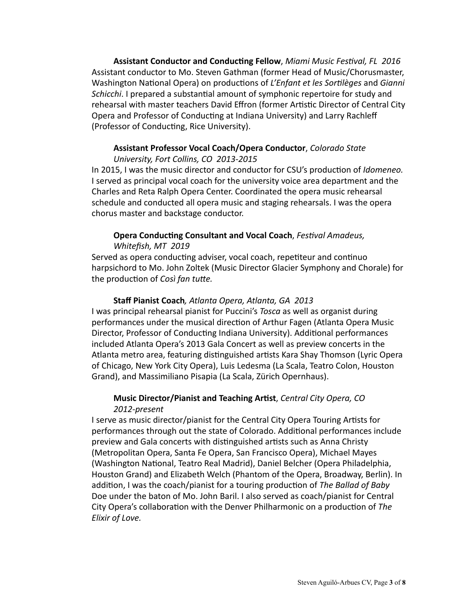**Assistant Conductor and Conducting Fellow**, *Miami Music Festival, FL 2016* Assistant conductor to Mo. Steven Gathman (former Head of Music/Chorusmaster, Washington National Opera) on productions of *L'Enfant et les Sortilèges* and *Gianni* Schicchi. I prepared a substantial amount of symphonic repertoire for study and rehearsal with master teachers David Effron (former Artistic Director of Central City Opera and Professor of Conducting at Indiana University) and Larry Rachleff (Professor of Conducting, Rice University).

#### **Assistant Professor Vocal Coach/Opera Conductor**, *Colorado State University, Fort Collins, CO 2013-2015*

In 2015, I was the music director and conductor for CSU's production of *Idomeneo.* I served as principal vocal coach for the university voice area department and the Charles and Reta Ralph Opera Center. Coordinated the opera music rehearsal schedule and conducted all opera music and staging rehearsals. I was the opera chorus master and backstage conductor.

# **Opera Conducting Consultant and Vocal Coach**, *Festival Amadeus*,  *Whitefish, MT 2019*

Served as opera conducting adviser, vocal coach, repetiteur and continuo harpsichord to Mo. John Zoltek (Music Director Glacier Symphony and Chorale) for the production of *Così fan tutte.* 

# **Staff Pianist Coach**, Atlanta Opera, Atlanta, GA 2013

I was principal rehearsal pianist for Puccini's *Tosca* as well as organist during performances under the musical direction of Arthur Fagen (Atlanta Opera Music Director, Professor of Conducting Indiana University). Additional performances included Atlanta Opera's 2013 Gala Concert as well as preview concerts in the Atlanta metro area, featuring distinguished artists Kara Shay Thomson (Lyric Opera of Chicago, New York City Opera), Luis Ledesma (La Scala, Teatro Colon, Houston Grand), and Massimiliano Pisapia (La Scala, Zürich Opernhaus).

# **Music Director/Pianist and Teaching Artist**, *Central City Opera, CO 2012-present*

I serve as music director/pianist for the Central City Opera Touring Artists for performances through out the state of Colorado. Additional performances include preview and Gala concerts with distinguished artists such as Anna Christy (Metropolitan Opera, Santa Fe Opera, San Francisco Opera), Michael Mayes (Washington National, Teatro Real Madrid), Daniel Belcher (Opera Philadelphia, Houston Grand) and Elizabeth Welch (Phantom of the Opera, Broadway, Berlin). In addition, I was the coach/pianist for a touring production of The Ballad of Baby Doe under the baton of Mo. John Baril. I also served as coach/pianist for Central City Opera's collaboration with the Denver Philharmonic on a production of *The Elixir of Love.*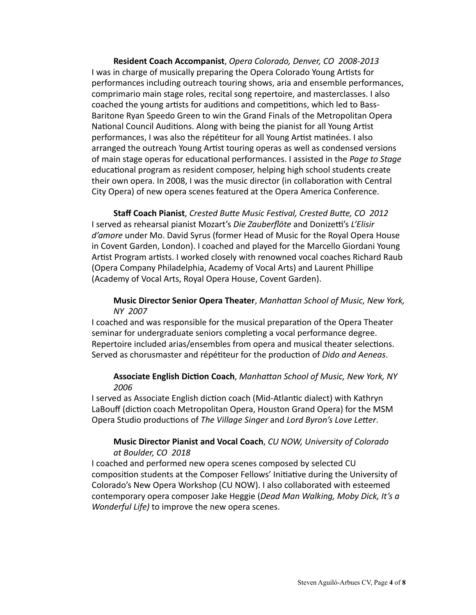**Resident Coach Accompanist**, *Opera Colorado, Denver, CO 2008-2013* I was in charge of musically preparing the Opera Colorado Young Artists for performances including outreach touring shows, aria and ensemble performances, comprimario main stage roles, recital song repertoire, and masterclasses. I also coached the young artists for auditions and competitions, which led to Bass-Baritone Ryan Speedo Green to win the Grand Finals of the Metropolitan Opera National Council Auditions. Along with being the pianist for all Young Artist performances, I was also the répétiteur for all Young Artist matinées. I also arranged the outreach Young Artist touring operas as well as condensed versions of main stage operas for educational performances. I assisted in the *Page to Stage* educational program as resident composer, helping high school students create their own opera. In 2008, I was the music director (in collaboration with Central City Opera) of new opera scenes featured at the Opera America Conference.

**Staff Coach Pianist**, Crested Butte Music Festival, Crested Butte, CO 2012 I served as rehearsal pianist Mozart's *Die Zauberflöte* and Donizetti's L'Elisir d'amore under Mo. David Syrus (former Head of Music for the Royal Opera House in Covent Garden, London). I coached and played for the Marcello Giordani Young Artist Program artists. I worked closely with renowned vocal coaches Richard Raub (Opera Company Philadelphia, Academy of Vocal Arts) and Laurent Phillipe (Academy of Vocal Arts, Royal Opera House, Covent Garden).

## **Music Director Senior Opera Theater**, *Manhattan School of Music, New York, NY 2007*

I coached and was responsible for the musical preparation of the Opera Theater seminar for undergraduate seniors completing a vocal performance degree. Repertoire included arias/ensembles from opera and musical theater selections. Served as chorusmaster and répétiteur for the production of *Dido and Aeneas*.

## **Associate English Diction Coach**, *Manhattan School of Music, New York, NY 2006*

I served as Associate English diction coach (Mid-Atlantic dialect) with Kathryn LaBouff (diction coach Metropolitan Opera, Houston Grand Opera) for the MSM Opera Studio productions of The Village Singer and Lord Byron's Love Letter.

## **Music Director Pianist and Vocal Coach**, *CU NOW, University of Colorado at Boulder, CO 2018*

I coached and performed new opera scenes composed by selected CU composition students at the Composer Fellows' Initiative during the University of Colorado's New Opera Workshop (CU NOW). I also collaborated with esteemed contemporary opera composer Jake Heggie (*Dead Man Walking, Moby Dick, It's a Wonderful Life)* to improve the new opera scenes.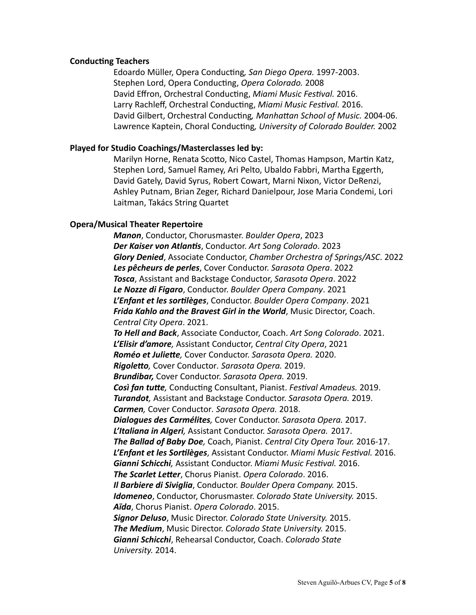#### **Conducting Teachers**

Edoardo Müller, Opera Conducting, San Diego Opera. 1997-2003. Stephen Lord, Opera Conducting, Opera Colorado. 2008 David Effron, Orchestral Conducting, Miami Music Festival. 2016. Larry Rachleff, Orchestral Conducting, *Miami Music Festival.* 2016. David Gilbert, Orchestral Conducting, Manhattan School of Music. 2004-06. Lawrence Kaptein, Choral Conducting, University of Colorado Boulder. 2002

## **Played for Studio Coachings/Masterclasses led by:**

Marilyn Horne, Renata Scotto, Nico Castel, Thomas Hampson, Martin Katz, Stephen Lord, Samuel Ramey, Ari Pelto, Ubaldo Fabbri, Martha Eggerth, David Gately, David Syrus, Robert Cowart, Marni Nixon, Victor DeRenzi, Ashley Putnam, Brian Zeger, Richard Danielpour, Jose Maria Condemi, Lori Laitman, Takács String Quartet

## **Opera/Musical Theater Repertoire**

*Manon*, Conductor, Chorusmaster. *Boulder Opera*, 2023 **Der Kaiser von Atlantis**, Conductor. Art Song Colorado. 2023 *Glory Denied, Associate Conductor, Chamber Orchestra of Springs/ASC.* **2022 Les pêcheurs de perles**, Cover Conductor. *Sarasota Opera.* 2022 **Tosca**, Assistant and Backstage Conductor, Sarasota Opera. 2022 Le Nozze di Figaro, Conductor. Boulder Opera Company. 2021 *L'Enfant et les sortilèges*, Conductor. *Boulder Opera Company*. 2021 Frida Kahlo and the Bravest Girl in the World, Music Director, Coach. *Central City Opera*. 2021. To Hell and Back, Associate Conductor, Coach. Art Song Colorado. 2021. **L'Elisir d'amore**, Assistant Conductor, Central City Opera, 2021 *Roméo et Juliette,* Cover Conductor. *Sarasota Opera.* 2020. *Rigoletto,* Cover Conductor*. Sarasota Opera.* 2019. *Brundibar,* Cover Conductor. *Sarasota Opera.* 2019. **Così fan tutte**, Conducting Consultant, Pianist. Festival Amadeus. 2019. **Turandot**, Assistant and Backstage Conductor. Sarasota Opera. 2019. *Carmen, Cover Conductor. Sarasota Opera.* 2018. *Dialogues des Carmélites, Cover Conductor. Sarasota Opera.* 2017. L'Italiana in Algeri, Assistant Conductor. Sarasota Opera. 2017. *The Ballad of Baby Doe, Coach, Pianist. Central City Opera Tour.* **2016-17. L'Enfant et les Sortilèges**, Assistant Conductor. Miami Music Festival. 2016. **Gianni Schicchi**, Assistant Conductor. Miami Music Festival. 2016. **The Scarlet Letter**, Chorus Pianist. Opera Colorado. 2016. **Il Barbiere di Siviglia**, Conductor. Boulder Opera Company. 2015. **Idomeneo**, Conductor, Chorusmaster. *Colorado State University.* 2015. Aïda, Chorus Pianist. Opera Colorado. 2015. *Signor Deluso, Music Director. Colorado State University.* 2015. **The Medium**, Music Director. *Colorado State University.* 2015. **Gianni Schicchi**, Rehearsal Conductor, Coach. *Colorado State University.* 2014.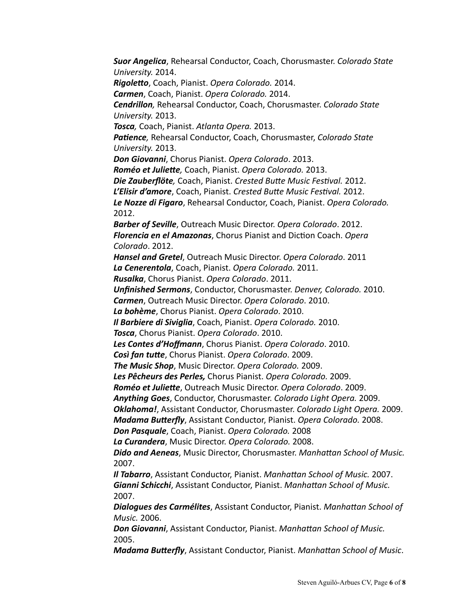**Suor Angelica**, Rehearsal Conductor, Coach, Chorusmaster. *Colorado State University.* 2014. *Rigoletto*, Coach, Pianist. *Opera Colorado.* 2014. *Carmen, Coach, Pianist. Opera Colorado.* 2014. *Cendrillon,* Rehearsal Conductor, Coach, Chorusmaster. *Colorado State University.* 2013. *Tosca,* Coach, Pianist. *Atlanta Opera.* 2013. **Patience**, Rehearsal Conductor, Coach, Chorusmaster, *Colorado State University.* 2013. **Don Giovanni**, Chorus Pianist. Opera Colorado. 2013. *Roméo et Juliette,* Coach, Pianist. *Opera Colorado.* 2013. **Die Zauberflöte**, Coach, Pianist. Crested Butte Music Festival. 2012. L'Elisir d'amore, Coach, Pianist. Crested Butte Music Festival. 2012. Le Nozze di Figaro, Rehearsal Conductor, Coach, Pianist. Opera Colorado.  2012. **Barber of Seville**, Outreach Music Director. Opera Colorado. 2012. *Florencia en el Amazonas, Chorus Pianist and Diction Coach. Opera Colorado*. 2012. **Hansel and Gretel**, Outreach Music Director. Opera Colorado. 2011 *La Cenerentola*, Coach, Pianist. *Opera Colorado.* 2011. *Rusalka*, Chorus Pianist. *Opera Colorado*. 2011. *Unfinished Sermons, Conductor, Chorusmaster. Denver, Colorado.* 2010. *Carmen, Outreach Music Director. Opera Colorado.* **2010.**  *La bohème*, Chorus Pianist. *Opera Colorado*. 2010. *Il Barbiere di Siviglia, Coach, Pianist. Opera Colorado.* 2010. **Tosca**, Chorus Pianist. Opera Colorado. 2010. **Les Contes d'Hoffmann**, Chorus Pianist. Opera Colorado. 2010. *Così fan tutte*, Chorus Pianist. *Opera Colorado*. 2009. *The Music Shop, Music Director. Opera Colorado.* **2009. Les Pêcheurs des Perles,** Chorus Pianist. Opera Colorado. 2009. *Roméo et Juliette, Outreach Music Director. Opera Colorado.* **2009.** Anything Goes, Conductor, Chorusmaster. *Colorado Light Opera.* 2009. **Oklahoma!**, Assistant Conductor, Chorusmaster. *Colorado Light Opera.* 2009. *Madama Butterfly, Assistant Conductor, Pianist. Opera Colorado.* 2008. **Don Pasquale**, Coach, Pianist. Opera Colorado. 2008 *La Curandera*, Music Director. *Opera Colorado.* 2008. **Dido and Aeneas**, Music Director, Chorusmaster. Manhattan School of Music. 2007. **II Tabarro**, Assistant Conductor, Pianist. Manhattan School of Music. 2007. **Gianni Schicchi**, Assistant Conductor, Pianist. Manhattan School of Music. 2007. **Dialogues des Carmélites**, Assistant Conductor, Pianist. Manhattan School of *Music.* 2006. **Don Giovanni**, Assistant Conductor, Pianist. Manhattan School of Music. 2005.

*Madama Butterfly, Assistant Conductor, Pianist. Manhattan School of Music.*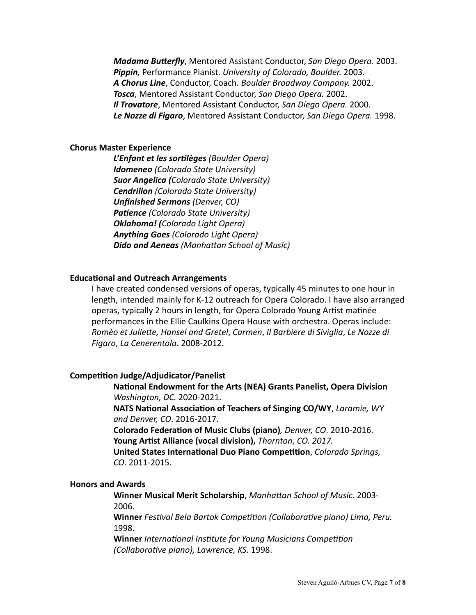*Madama Butterfly, Mentored Assistant Conductor, San Diego Opera.* **2003. Pippin**, Performance Pianist. University of Colorado, Boulder. 2003. A Chorus Line, Conductor, Coach. Boulder Broadway Company. 2002. *Tosca*, Mentored Assistant Conductor, San Diego Opera. 2002. *Il Trovatore, Mentored Assistant Conductor, San Diego Opera.* 2000. Le Nozze di Figaro, Mentored Assistant Conductor, San Diego Opera. 1998.

#### **Chorus Master Experience**

 *L'Enfant et les sortilèges (Boulder Opera)*  *Idomeneo (Colorado State University) Suor Angelica (Colorado State University) Cendrillon (Colorado State University) Unfinished Sermons (Denver, CO)* **Patience** (Colorado State University)  *Oklahoma! (Colorado Light Opera) Anything Goes (Colorado Light Opera) Dido and Aeneas (Manhattan School of Music)* 

## **Educational and Outreach Arrangements**

I have created condensed versions of operas, typically 45 minutes to one hour in length, intended mainly for K-12 outreach for Opera Colorado. I have also arranged operas, typically 2 hours in length, for Opera Colorado Young Artist matinée performances in the Ellie Caulkins Opera House with orchestra. Operas include: *Romèo et Juliette, Hansel and Gretel*, *Carmen*, *Il Barbiere di Siviglia*, *Le Nozze di Figaro*, *La Cenerentola*. 2008-2012.

#### **Competition Judge/Adjudicator/Panelist**

**National Endowment for the Arts (NEA) Grants Panelist, Opera Division** *Washington, DC.* 2020-2021.

**NATS National Association of Teachers of Singing CO/WY, Laramie, WY**  *and Denver, CO*. 2016-2017.

**Colorado Federation of Music Clubs (piano)**, Denver, CO. 2010-2016. **Young Artist Alliance (vocal division),** *Thornton, CO. 2017.* 

**United States International Duo Piano Competition**, *Colorado Springs, CO*. 2011-2015.

#### **Honors and Awards**

**Winner Musical Merit Scholarship**, *Manhattan School of Music.* 2003- 2006.

**Winner** *Festival Bela Bartok Competition (Collaborative piano) Lima, Peru.* 1998. 

**Winner** *International Institute for Young Musicians Competition (Collaborative piano), Lawrence, KS.* 1998.